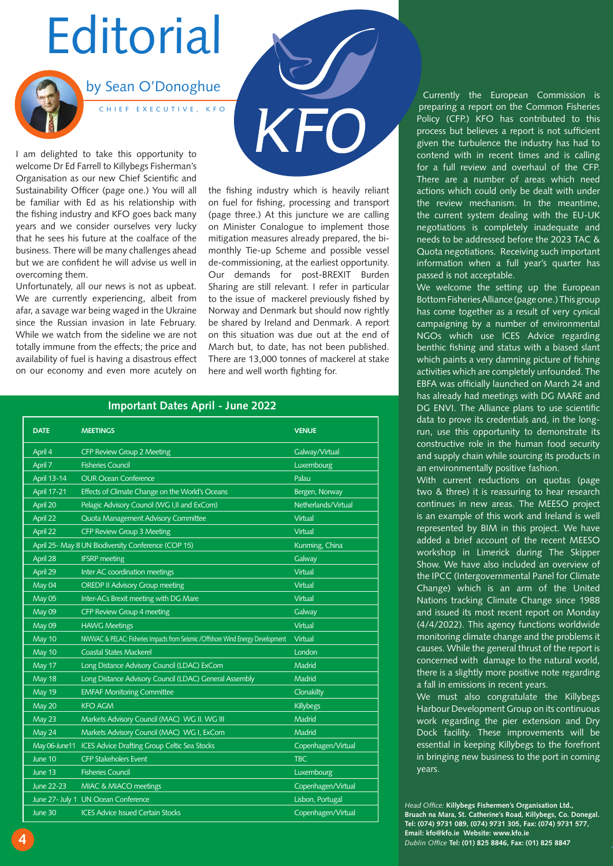# **Editorial**



by Sean O'Donoghue

CHIEF EXECUTIVE, KFO

I am delighted to take this opportunity to welcome Dr Ed Farrell to Killybegs Fisherman's Organisation as our new Chief Scientific and Sustainability Officer (page one.) You will all be familiar with Ed as his relationship with the fishing industry and KFO goes back many years and we consider ourselves very lucky that he sees his future at the coalface of the business. There will be many challenges ahead but we are confident he will advise us well in overcoming them.

Unfortunately, all our news is not as upbeat. We are currently experiencing, albeit from afar, a savage war being waged in the Ukraine since the Russian invasion in late February. While we watch from the sideline we are not totally immune from the effects; the price and availability of fuel is having a disastrous effect on our economy and even more acutely on the fishing industry which is heavily reliant on fuel for fishing, processing and transport (page three.) At this juncture we are calling on Minister Conalogue to implement those mitigation measures already prepared, the bimonthly Tie-up Scheme and possible vessel de-commissioning, at the earliest opportunity. Our demands for post-BREXIT Burden Sharing are still relevant. I refer in particular to the issue of mackerel previously fished by Norway and Denmark but should now rightly be shared by Ireland and Denmark. A report on this situation was due out at the end of March but, to date, has not been published. There are 13,000 tonnes of mackerel at stake here and well worth fighting for.

| <b>DATE</b> | <b>MEETINGS</b>                                                                  | <b>VENUE</b>        |
|-------------|----------------------------------------------------------------------------------|---------------------|
| April 4     | CFP Review Group 2 Meeting                                                       | Galway/Virtual      |
| April 7     | <b>Fisheries Council</b>                                                         | Luxembourg          |
| April 13-14 | <b>OUR Ocean Conference</b>                                                      | Palau               |
| April 17-21 | Effects of Climate Change on the World's Oceans                                  | Bergen, Norway      |
| April 20    | Pelagic Advisory Council (WG I, II and ExCom)                                    | Netherlands/Virtual |
| April 22    | <b>Quota Management Advisory Committee</b>                                       | Virtual             |
| April 22    | CFP Review Group 3 Meeting                                                       | Virtual             |
|             | April 25- May 8 UN Biodiversity Conference (COP 15)                              | Kunming, China      |
| April 28    | <b>IFSRP</b> meeting                                                             | Galway              |
| April 29    | Inter AC coordination meetings                                                   | Virtual             |
| May 04      | <b>OREDP II Advisory Group meeting</b>                                           | Virtual             |
| May 05      | Inter-ACs Brexit meeting with DG Mare                                            | Virtual             |
| May 09      | CFP Review Group 4 meeting                                                       | Galway              |
| May 09      | <b>HAWG Meetings</b>                                                             | Virtual             |
| May 10      | NWWAC & PELAC: Fisheries Impacts from Seismic / Offshore Wind Energy Development | Virtual             |
| May 10      | <b>Coastal States Mackerel</b>                                                   | London              |
| May 17      | Long Distance Advisory Council (LDAC) ExCom                                      | Madrid              |
| May 18      | Long Distance Advisory Council (LDAC) General Assembly                           | Madrid              |
| May 19      | <b>EMFAF Monitoring Committee</b>                                                | Clonakilty          |
| May 20      | <b>KFO AGM</b>                                                                   | Killybegs           |
| May 23      | Markets Advisory Council (MAC) WG II. WG III                                     | Madrid              |
| May 24      | Markets Advisory Council (MAC) WG I, ExCom                                       | Madrid              |
|             | May 06-June11 ICES Advice Drafting Group Celtic Sea Stocks                       | Copenhagen/Virtual  |
| June 10     | <b>CFP Stakeholers Event</b>                                                     | <b>TBC</b>          |
| June 13     | <b>Fisheries Council</b>                                                         | Luxembourg          |
| June 22-23  | MIAC & MIACO meetings                                                            | Copenhagen/Virtual  |
|             | June 27- July 1 UN Ocean Conference                                              | Lisbon, Portugal    |
| June 30     | <b>ICES Advice Issued Certain Stocks</b>                                         | Copenhagen/Virtual  |

### **Important Dates April - June 2022**

Currently the European Commission is preparing a report on the Common Fisheries Policy (CFP.) KFO has contributed to this process but believes a report is not sufficient given the turbulence the industry has had to contend with in recent times and is calling for a full review and overhaul of the CFP. There are a number of areas which need actions which could only be dealt with under the review mechanism. In the meantime, the current system dealing with the EU-UK negotiations is completely inadequate and needs to be addressed before the 2023 TAC & Quota negotiations. Receiving such important information when a full year's quarter has passed is not acceptable.

We welcome the setting up the European Bottom Fisheries Alliance (page one.) This group has come together as a result of very cynical campaigning by a number of environmental NGOs which use ICES Advice regarding benthic fishing and status with a biased slant which paints a very damning picture of fishing activities which are completely unfounded. The EBFA was officially launched on March 24 and has already had meetings with DG MARE and DG ENVI. The Alliance plans to use scientific data to prove its credentials and, in the longrun, use this opportunity to demonstrate its constructive role in the human food security and supply chain while sourcing its products in an environmentally positive fashion.

With current reductions on quotas (page two & three) it is reassuring to hear research continues in new areas. The MEESO project is an example of this work and Ireland is well represented by BIM in this project. We have added a brief account of the recent MEESO workshop in Limerick during The Skipper Show. We have also included an overview of the IPCC (Intergovernmental Panel for Climate Change) which is an arm of the United Nations tracking Climate Change since 1988 and issued its most recent report on Monday (4/4/2022). This agency functions worldwide monitoring climate change and the problems it causes. While the general thrust of the report is concerned with damage to the natural world, there is a slightly more positive note regarding a fall in emissions in recent years.

We must also congratulate the Killybegs Harbour Development Group on its continuous work regarding the pier extension and Dry Dock facility. These improvements will be essential in keeping Killybegs to the forefront in bringing new business to the port in coming years.

*Head Office:* **Killybegs Fishermen's Organisation Ltd., Bruach na Mara, St. Catherine's Road, Killybegs, Co. Donegal. Tel: (074) 9731 089, (074) 9731 305, Fax: (074) 9731 577, Email: kfo@kfo.ie Website: www.kfo.ie**  *Dublin Office* **Tel: (01) 825 8846, Fax: (01) 825 8847**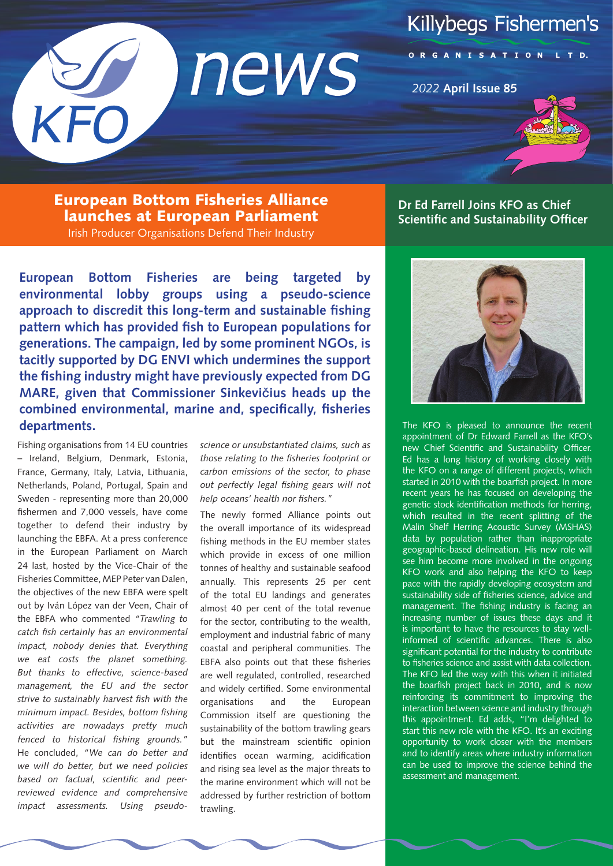



# ORGANISATION LTD.

*2022* **April Issue 85**

European Bottom Fisheries Alliance launches at European Parliament Irish Producer Organisations Defend Their Industry

**European Bottom Fisheries are being targeted by environmental lobby groups using a pseudo-science approach to discredit this long-term and sustainable fishing pattern which has provided fish to European populations for generations. The campaign, led by some prominent NGOs, is tacitly supported by DG ENVI which undermines the support the fishing industry might have previously expected from DG MARE, given that Commissioner Sinkevi**č**ius heads up the combined environmental, marine and, specifically, fisheries departments.**

Fishing organisations from 14 EU countries – Ireland, Belgium, Denmark, Estonia, France, Germany, Italy, Latvia, Lithuania, Netherlands, Poland, Portugal, Spain and Sweden - representing more than 20,000 fishermen and 7,000 vessels, have come together to defend their industry by launching the EBFA. At a press conference in the European Parliament on March 24 last, hosted by the Vice-Chair of the Fisheries Committee, MEP Peter van Dalen, the objectives of the new EBFA were spelt out by Iván López van der Veen, Chair of the EBFA who commented *"Trawling to catch fish certainly has an environmental impact, nobody denies that. Everything we eat costs the planet something. But thanks to effective, science-based management, the EU and the sector strive to sustainably harvest fish with the minimum impact. Besides, bottom fishing activities are nowadays pretty much fenced to historical fishing grounds."* He concluded, *"We can do better and we will do better, but we need policies based on factual, scientific and peerreviewed evidence and comprehensive impact assessments. Using pseudo-* *science or unsubstantiated claims, such as those relating to the fisheries footprint or carbon emissions of the sector, to phase out perfectly legal fishing gears will not help oceans' health nor fishers."*

The newly formed Alliance points out the overall importance of its widespread fishing methods in the EU member states which provide in excess of one million tonnes of healthy and sustainable seafood annually. This represents 25 per cent of the total EU landings and generates almost 40 per cent of the total revenue for the sector, contributing to the wealth, employment and industrial fabric of many coastal and peripheral communities. The EBFA also points out that these fisheries are well regulated, controlled, researched and widely certified. Some environmental organisations and the European Commission itself are questioning the sustainability of the bottom trawling gears but the mainstream scientific opinion identifies ocean warming, acidification and rising sea level as the major threats to the marine environment which will not be addressed by further restriction of bottom trawling.



**Dr Ed Farrell Joins KFO as Chief** 



The KFO is pleased to announce the recent appointment of Dr Edward Farrell as the KFO's new Chief Scientific and Sustainability Officer. Ed has a long history of working closely with the KFO on a range of different projects, which started in 2010 with the boarfish project. In more recent years he has focused on developing the genetic stock identification methods for herring, which resulted in the recent splitting of the Malin Shelf Herring Acoustic Survey (MSHAS) data by population rather than inappropriate geographic-based delineation. His new role will see him become more involved in the ongoing KFO work and also helping the KFO to keep pace with the rapidly developing ecosystem and sustainability side of fisheries science, advice and management. The fishing industry is facing an increasing number of issues these days and it is important to have the resources to stay wellinformed of scientific advances. There is also significant potential for the industry to contribute to fisheries science and assist with data collection. The KFO led the way with this when it initiated the boarfish project back in 2010, and is now reinforcing its commitment to improving the interaction between science and industry through this appointment. Ed adds, "I'm delighted to start this new role with the KFO. It's an exciting opportunity to work closer with the members and to identify areas where industry information can be used to improve the science behind the assessment and management.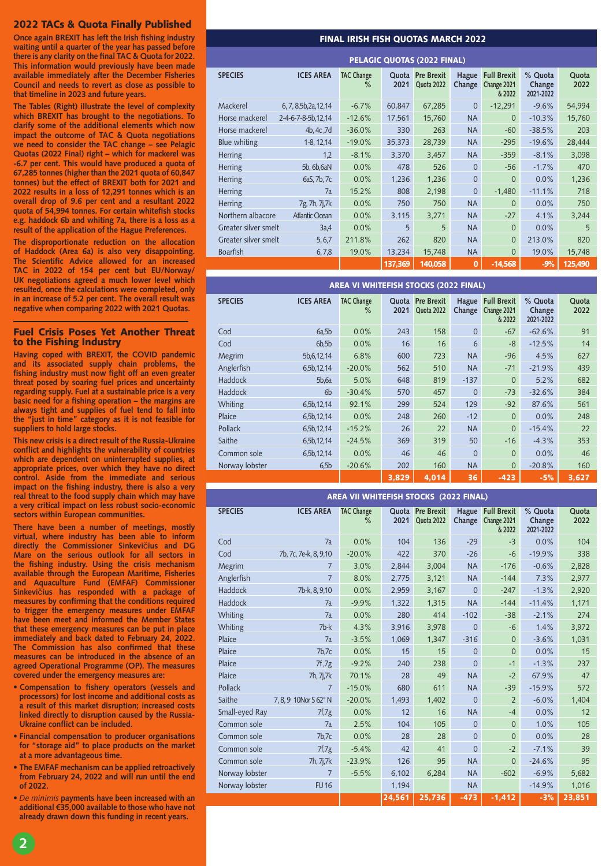### 2022 TACs & Quota Finally Published

**Once again BREXIT has left the Irish fishing industry waiting until a quarter of the year has passed before there is any clarity on the final TAC & Quota for 2022. This information would previously have been made available immediately after the December Fisheries Council and needs to revert as close as possible to that timeline in 2023 and future years.**

**The Tables (Right) illustrate the level of complexity which BREXIT has brought to the negotiations. To clarify some of the additional elements which now impact the outcome of TAC & Quota negotiations we need to consider the TAC change – see Pelagic Quotas (2022 Final) right – which for mackerel was -6.7 per cent. This would have produced a quota of 67,285 tonnes (higher than the 2021 quota of 60,847 tonnes) but the effect of BREXIT both for 2021 and 2022 results in a loss of 12,291 tonnes which is an overall drop of 9.6 per cent and a resultant 2022 quota of 54,994 tonnes. For certain whitefish stocks e.g. haddock 6b and whiting 7a, there is a loss as a result of the application of the Hague Preferences.**

**The disproportionate reduction on the allocation of Haddock (Area 6a) is also very disappointing. The Scientific Advice allowed for an increased TAC in 2022 of 154 per cent but EU/Norway/ UK negotiations agreed a much lower level which resulted, once the calculations were completed, only in an increase of 5.2 per cent. The overall result was negative when comparing 2022 with 2021 Quotas.** 

#### Fuel Crisis Poses Yet Another Threat to the Fishing Industry

**Having coped with BREXIT, the COVID pandemic and its associated supply chain problems, the fishing industry must now fight off an even greater threat posed by soaring fuel prices and uncertainty regarding supply. Fuel at a sustainable price is a very basic need for a fishing operation – the margins are always tight and supplies of fuel tend to fall into the "just in time" category as it is not feasible for suppliers to hold large stocks.** 

**This new crisis is a direct result of the Russia-Ukraine conflict and highlights the vulnerability of countries which are dependent on uninterrupted supplies, at appropriate prices, over which they have no direct control. Aside from the immediate and serious impact on the fishing industry, there is also a very real threat to the food supply chain which may have a very critical impact on less robust socio-economic sectors within European communities.** 

**There have been a number of meetings, mostly virtual, where industry has been able to inform directly the Commissioner Sinkevi**č**ius and DG Mare on the serious outlook for all sectors in the fishing industry. Using the crisis mechanism available through the European Maritime, Fisheries and Aquaculture Fund (EMFAF) Commissioner Sinkevi**č**ius has responded with a package of measures by confirming that the conditions required to trigger the emergency measures under EMFAF have been meet and informed the Member States that these emergency measures can be put in place immediately and back dated to February 24, 2022. The Commission has also confirmed that these measures can be introduced in the absence of an agreed Operational Programme (OP). The measures covered under the emergency measures are:** 

- **Compensation to fishery operators (vessels and processors) for lost income and additional costs as a result of this market disruption; increased costs linked directly to disruption caused by the Russia-Ukraine conflict can be included.**
- **Financial compensation to producer organisations for "storage aid" to place products on the market at a more advantageous time.**
- **The EMFAF mechanism can be applied retroactively from February 24, 2022 and will run until the end of 2022.**
- *De minimis* **payments have been increased with an additional €35,000 available to those who have not already drawn down this funding in recent years.**

#### FINAL IRISH FISH QUOTAS MARCH 2022

| <b>PELAGIC QUOTAS (2022 FINAL)</b> |                         |                           |         |                                |                 |                                             |                                |               |
|------------------------------------|-------------------------|---------------------------|---------|--------------------------------|-----------------|---------------------------------------------|--------------------------------|---------------|
| <b>SPECIES</b>                     | <b>ICES AREA</b>        | <b>TAC Change</b><br>$\%$ | 2021    | Quota Pre Brexit<br>Quota 2022 | Hague<br>Change | <b>Full Brexit</b><br>Change 2021<br>& 2022 | % Quota<br>Change<br>2021-2022 | Quota<br>2022 |
| Mackerel                           | 6, 7, 8, 5b, 2a, 12, 14 | $-6.7%$                   | 60,847  | 67,285                         | $\overline{0}$  | $-12,291$                                   | $-9.6%$                        | 54,994        |
| Horse mackerel                     | 2-4-6-7-8-5b, 12, 14    | $-12.6%$                  | 17,561  | 15,760                         | <b>NA</b>       | $\Omega$                                    | $-10.3%$                       | 15,760        |
| Horse mackerel                     | 4b, 4c, 7d              | $-36.0%$                  | 330     | 263                            | <b>NA</b>       | $-60$                                       | $-38.5%$                       | 203           |
| Blue whiting                       | 1-8, 12, 14             | $-19.0%$                  | 35,373  | 28,739                         | <b>NA</b>       | $-295$                                      | $-19.6%$                       | 28,444        |
| Herring                            | 1,2                     | $-8.1%$                   | 3,370   | 3,457                          | <b>NA</b>       | $-359$                                      | $-8.1%$                        | 3,098         |
| Herring                            | 5b, 6b, 6aN             | 0.0%                      | 478     | 526                            | $\Omega$        | $-56$                                       | $-1.7%$                        | 470           |
| Herring                            | 6aS, 7b, 7c             | 0.0%                      | 1,236   | 1,236                          | $\overline{0}$  | $\Omega$                                    | 0.0%                           | 1,236         |
| Herring                            | 7a                      | 15.2%                     | 808     | 2,198                          | $\overline{0}$  | $-1,480$                                    | $-11.1%$                       | 718           |
| Herring                            | 7g, 7h, 7j, 7k          | 0.0%                      | 750     | 750                            | <b>NA</b>       | $\Omega$                                    | 0.0%                           | 750           |
| Northern albacore                  | <b>Atlantic Ocean</b>   | 0.0%                      | 3,115   | 3,271                          | <b>NA</b>       | $-27$                                       | 4.1%                           | 3,244         |
| Greater silver smelt               | 3a.4                    | 0.0%                      | 5       | 5                              | <b>NA</b>       | $\Omega$                                    | 0.0%                           | 5             |
| Greater silver smelt               | 5, 6, 7                 | 211.8%                    | 262     | 820                            | <b>NA</b>       | $\Omega$                                    | 213.0%                         | 820           |
| <b>Boarfish</b>                    | 6, 7, 8                 | 19.0%                     | 13,234  | 15,748                         | <b>NA</b>       | $\Omega$                                    | 19.0%                          | 15,748        |
|                                    |                         |                           | 137,369 | 140,058                        | $\bf{0}$        | $-14,568$                                   | $-9%$                          | 125,490       |

| <b>AREA VI WHITEFISH STOCKS (2022 FINAL)</b> |                  |                           |       |                                |                        |                                             |                                |               |
|----------------------------------------------|------------------|---------------------------|-------|--------------------------------|------------------------|---------------------------------------------|--------------------------------|---------------|
| <b>SPECIES</b>                               | <b>ICES AREA</b> | <b>TAC Change</b><br>$\%$ | 2021  | Quota Pre Brexit<br>Quota 2022 | <b>Hague</b><br>Change | <b>Full Brexit</b><br>Change 2021<br>& 2022 | % Quota<br>Change<br>2021-2022 | Quota<br>2022 |
| Cod                                          | 6a,5b            | 0.0%                      | 243   | 158                            | $\Omega$               | $-67$                                       | $-62.6%$                       | 91            |
| Cod                                          | 6b,5b            | 0.0%                      | 16    | 16                             | 6                      | $-8$                                        | $-12.5%$                       | 14            |
| Megrim                                       | 5b, 6, 12, 14    | 6.8%                      | 600   | 723                            | <b>NA</b>              | $-96$                                       | 4.5%                           | 627           |
| Anglerfish                                   | 6,5b,12,14       | $-20.0%$                  | 562   | 510                            | <b>NA</b>              | $-71$                                       | $-21.9%$                       | 439           |
| <b>Haddock</b>                               | 5b,6a            | 5.0%                      | 648   | 819                            | $-137$                 | $\Omega$                                    | 5.2%                           | 682           |
| <b>Haddock</b>                               | 6 <sub>b</sub>   | $-30.4%$                  | 570   | 457                            | $\Omega$               | $-73$                                       | $-32.6%$                       | 384           |
| Whiting                                      | 6,5b,12,14       | 92.1%                     | 299   | 524                            | 129                    | $-92$                                       | 87.6%                          | 561           |
| Plaice                                       | 6,5b,12,14       | 0.0%                      | 248   | 260                            | $-12$                  | $\Omega$                                    | 0.0%                           | 248           |
| Pollack                                      | 6,5b,12,14       | $-15.2%$                  | 26    | 22                             | <b>NA</b>              | $\Omega$                                    | $-15.4%$                       | 22            |
| Saithe                                       | 6,5b,12,14       | $-24.5%$                  | 369   | 319                            | 50                     | $-16$                                       | $-4.3%$                        | 353           |
| Common sole                                  | 6,5b,12,14       | 0.0%                      | 46    | 46                             | $\Omega$               | $\Omega$                                    | 0.0%                           | 46            |
| Norway lobster                               | 6,5b             | $-20.6%$                  | 202   | 160                            | <b>NA</b>              | $\Omega$                                    | $-20.8%$                       | 160           |
|                                              |                  |                           | 3,829 | 4,014                          | 36                     | $-423$                                      | $-5%$                          | 3,627         |

| AREA VII WHITEFISH STOCKS (2022 FINAL) |                       |                           |        |                                |                        |                                             |                                |               |  |
|----------------------------------------|-----------------------|---------------------------|--------|--------------------------------|------------------------|---------------------------------------------|--------------------------------|---------------|--|
| <b>SPECIES</b>                         | <b>ICES AREA</b>      | <b>TAC Change</b><br>$\%$ | 2021   | Quota Pre Brexit<br>Quota 2022 | <b>Hague</b><br>Change | <b>Full Brexit</b><br>Change 2021<br>& 2022 | % Quota<br>Change<br>2021-2022 | Quota<br>2022 |  |
| Cod                                    | 7a                    | 0.0%                      | 104    | 136                            | $-29$                  | $-3$                                        | 0.0%                           | 104           |  |
| Cod                                    | 7b, 7c, 7e-k, 8, 9,10 | $-20.0%$                  | 422    | 370                            | $-26$                  | $-6$                                        | $-19.9%$                       | 338           |  |
| Megrim                                 | 7                     | 3.0%                      | 2,844  | 3,004                          | <b>NA</b>              | $-176$                                      | $-0.6%$                        | 2,828         |  |
| Anglerfish                             | $\overline{7}$        | 8.0%                      | 2,775  | 3,121                          | <b>NA</b>              | $-144$                                      | 7.3%                           | 2,977         |  |
| Haddock                                | 7b-k, 8, 9,10         | 0.0%                      | 2,959  | 3,167                          | $\overline{0}$         | $-247$                                      | $-1.3%$                        | 2,920         |  |
| Haddock                                | 7a                    | $-9.9%$                   | 1,322  | 1,315                          | <b>NA</b>              | $-144$                                      | $-11.4%$                       | 1,171         |  |
| Whiting                                | 7a                    | 0.0%                      | 280    | 414                            | $-102$                 | $-38$                                       | $-2.1%$                        | 274           |  |
| Whiting                                | $7b-k$                | 4.3%                      | 3,916  | 3,978                          | $\Omega$               | $-6$                                        | 1.4%                           | 3,972         |  |
| Plaice                                 | 7a                    | $-3.5%$                   | 1,069  | 1,347                          | $-316$                 | $\overline{0}$                              | $-3.6%$                        | 1,031         |  |
| Plaice                                 | 7b,7c                 | 0.0%                      | 15     | 15                             | $\Omega$               | $\overline{0}$                              | 0.0%                           | 15            |  |
| Plaice                                 | 7f, 7g                | $-9.2%$                   | 240    | 238                            | $\overline{0}$         | $-1$                                        | $-1.3%$                        | 237           |  |
| Plaice                                 | 7h, 7j, 7k            | 70.1%                     | 28     | 49                             | <b>NA</b>              | $-2$                                        | 67.9%                          | 47            |  |
| Pollack                                | $\overline{7}$        | $-15.0%$                  | 680    | 611                            | <b>NA</b>              | $-39$                                       | $-15.9%$                       | 572           |  |
| Saithe                                 | 7, 8, 9 10Nor S 62° N | $-20.0%$                  | 1,493  | 1,402                          | $\Omega$               | $\overline{2}$                              | $-6.0%$                        | 1,404         |  |
| Small-eyed Ray                         | 7f <sub>1</sub> 7g    | 0.0%                      | 12     | 16                             | <b>NA</b>              | $-4$                                        | 0.0%                           | 12            |  |
| Common sole                            | 7a                    | 2.5%                      | 104    | 105                            | $\overline{0}$         | $\overline{0}$                              | 1.0%                           | 105           |  |
| Common sole                            | 7b,7c                 | 0.0%                      | 28     | 28                             | $\overline{0}$         | $\overline{0}$                              | 0.0%                           | 28            |  |
| Common sole                            | 7f <sub>1</sub> 7g    | $-5.4%$                   | 42     | 41                             | $\overline{0}$         | $-2$                                        | $-7.1%$                        | 39            |  |
| Common sole                            | 7h, 7j, 7k            | $-23.9%$                  | 126    | 95                             | <b>NA</b>              | $\Omega$                                    | $-24.6%$                       | 95            |  |
| Norway lobster                         | 7                     | $-5.5%$                   | 6,102  | 6,284                          | <b>NA</b>              | $-602$                                      | $-6.9%$                        | 5,682         |  |
| Norway lobster                         | <b>FU16</b>           |                           | 1,194  |                                | <b>NA</b>              |                                             | $-14.9%$                       | 1,016         |  |
|                                        |                       |                           | 24,561 | 25,736                         | $-473$                 | $-1,412$                                    | $-3%$                          | 23,851        |  |